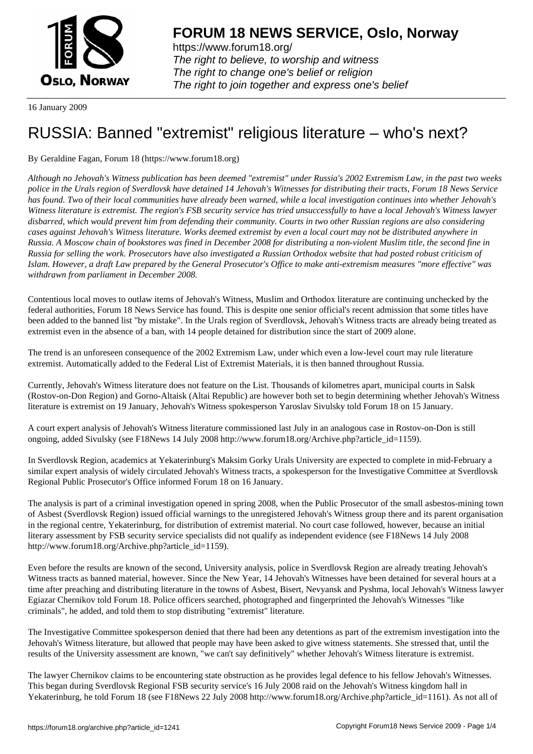

https://www.forum18.org/ The right to believe, to worship and witness The right to change one's belief or religion [The right to join together a](https://www.forum18.org/)nd express one's belief

16 January 2009

## [RUSSIA: Banne](https://www.forum18.org)d "extremist" religious literature – who's next?

By Geraldine Fagan, Forum 18 (https://www.forum18.org)

*Although no Jehovah's Witness publication has been deemed "extremist" under Russia's 2002 Extremism Law, in the past two weeks police in the Urals region of Sverdlovsk have detained 14 Jehovah's Witnesses for distributing their tracts, Forum 18 News Service has found. Two of their local communities have already been warned, while a local investigation continues into whether Jehovah's Witness literature is extremist. The region's FSB security service has tried unsuccessfully to have a local Jehovah's Witness lawyer disbarred, which would prevent him from defending their community. Courts in two other Russian regions are also considering cases against Jehovah's Witness literature. Works deemed extremist by even a local court may not be distributed anywhere in Russia. A Moscow chain of bookstores was fined in December 2008 for distributing a non-violent Muslim title, the second fine in Russia for selling the work. Prosecutors have also investigated a Russian Orthodox website that had posted robust criticism of Islam. However, a draft Law prepared by the General Prosecutor's Office to make anti-extremism measures "more effective" was withdrawn from parliament in December 2008.*

Contentious local moves to outlaw items of Jehovah's Witness, Muslim and Orthodox literature are continuing unchecked by the federal authorities, Forum 18 News Service has found. This is despite one senior official's recent admission that some titles have been added to the banned list "by mistake". In the Urals region of Sverdlovsk, Jehovah's Witness tracts are already being treated as extremist even in the absence of a ban, with 14 people detained for distribution since the start of 2009 alone.

The trend is an unforeseen consequence of the 2002 Extremism Law, under which even a low-level court may rule literature extremist. Automatically added to the Federal List of Extremist Materials, it is then banned throughout Russia.

Currently, Jehovah's Witness literature does not feature on the List. Thousands of kilometres apart, municipal courts in Salsk (Rostov-on-Don Region) and Gorno-Altaisk (Altai Republic) are however both set to begin determining whether Jehovah's Witness literature is extremist on 19 January, Jehovah's Witness spokesperson Yaroslav Sivulsky told Forum 18 on 15 January.

A court expert analysis of Jehovah's Witness literature commissioned last July in an analogous case in Rostov-on-Don is still ongoing, added Sivulsky (see F18News 14 July 2008 http://www.forum18.org/Archive.php?article\_id=1159).

In Sverdlovsk Region, academics at Yekaterinburg's Maksim Gorky Urals University are expected to complete in mid-February a similar expert analysis of widely circulated Jehovah's Witness tracts, a spokesperson for the Investigative Committee at Sverdlovsk Regional Public Prosecutor's Office informed Forum 18 on 16 January.

The analysis is part of a criminal investigation opened in spring 2008, when the Public Prosecutor of the small asbestos-mining town of Asbest (Sverdlovsk Region) issued official warnings to the unregistered Jehovah's Witness group there and its parent organisation in the regional centre, Yekaterinburg, for distribution of extremist material. No court case followed, however, because an initial literary assessment by FSB security service specialists did not qualify as independent evidence (see F18News 14 July 2008 http://www.forum18.org/Archive.php?article\_id=1159).

Even before the results are known of the second, University analysis, police in Sverdlovsk Region are already treating Jehovah's Witness tracts as banned material, however. Since the New Year, 14 Jehovah's Witnesses have been detained for several hours at a time after preaching and distributing literature in the towns of Asbest, Bisert, Nevyansk and Pyshma, local Jehovah's Witness lawyer Egiazar Chernikov told Forum 18. Police officers searched, photographed and fingerprinted the Jehovah's Witnesses "like criminals", he added, and told them to stop distributing "extremist" literature.

The Investigative Committee spokesperson denied that there had been any detentions as part of the extremism investigation into the Jehovah's Witness literature, but allowed that people may have been asked to give witness statements. She stressed that, until the results of the University assessment are known, "we can't say definitively" whether Jehovah's Witness literature is extremist.

The lawyer Chernikov claims to be encountering state obstruction as he provides legal defence to his fellow Jehovah's Witnesses. This began during Sverdlovsk Regional FSB security service's 16 July 2008 raid on the Jehovah's Witness kingdom hall in Yekaterinburg, he told Forum 18 (see F18News 22 July 2008 http://www.forum18.org/Archive.php?article\_id=1161). As not all of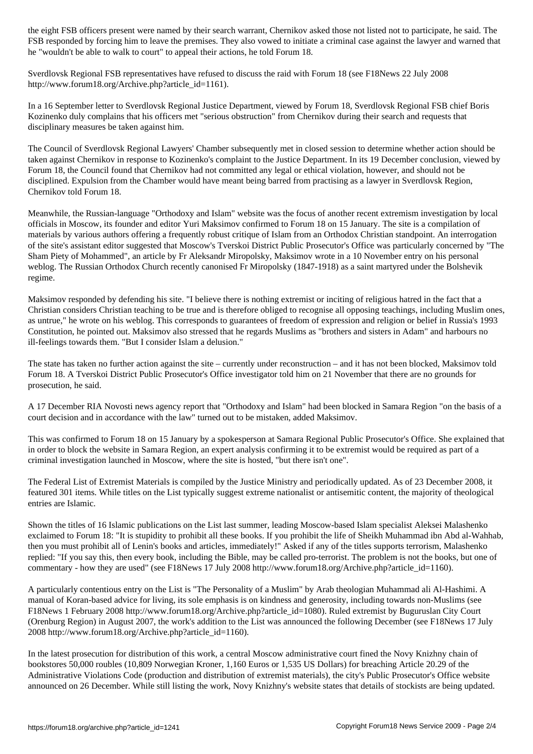FSB responded by forcing him to leave the premises. They also vowed to initiate a criminal case against the lawyer and warned that he "wouldn't be able to walk to court" to appeal their actions, he told Forum 18.

Sverdlovsk Regional FSB representatives have refused to discuss the raid with Forum 18 (see F18News 22 July 2008 http://www.forum18.org/Archive.php?article\_id=1161).

In a 16 September letter to Sverdlovsk Regional Justice Department, viewed by Forum 18, Sverdlovsk Regional FSB chief Boris Kozinenko duly complains that his officers met "serious obstruction" from Chernikov during their search and requests that disciplinary measures be taken against him.

The Council of Sverdlovsk Regional Lawyers' Chamber subsequently met in closed session to determine whether action should be taken against Chernikov in response to Kozinenko's complaint to the Justice Department. In its 19 December conclusion, viewed by Forum 18, the Council found that Chernikov had not committed any legal or ethical violation, however, and should not be disciplined. Expulsion from the Chamber would have meant being barred from practising as a lawyer in Sverdlovsk Region, Chernikov told Forum 18.

Meanwhile, the Russian-language "Orthodoxy and Islam" website was the focus of another recent extremism investigation by local officials in Moscow, its founder and editor Yuri Maksimov confirmed to Forum 18 on 15 January. The site is a compilation of materials by various authors offering a frequently robust critique of Islam from an Orthodox Christian standpoint. An interrogation of the site's assistant editor suggested that Moscow's Tverskoi District Public Prosecutor's Office was particularly concerned by "The Sham Piety of Mohammed", an article by Fr Aleksandr Miropolsky, Maksimov wrote in a 10 November entry on his personal weblog. The Russian Orthodox Church recently canonised Fr Miropolsky (1847-1918) as a saint martyred under the Bolshevik regime.

Maksimov responded by defending his site. "I believe there is nothing extremist or inciting of religious hatred in the fact that a Christian considers Christian teaching to be true and is therefore obliged to recognise all opposing teachings, including Muslim ones, as untrue," he wrote on his weblog. This corresponds to guarantees of freedom of expression and religion or belief in Russia's 1993 Constitution, he pointed out. Maksimov also stressed that he regards Muslims as "brothers and sisters in Adam" and harbours no ill-feelings towards them. "But I consider Islam a delusion."

The state has taken no further action against the site – currently under reconstruction – and it has not been blocked, Maksimov told Forum 18. A Tverskoi District Public Prosecutor's Office investigator told him on 21 November that there are no grounds for prosecution, he said.

A 17 December RIA Novosti news agency report that "Orthodoxy and Islam" had been blocked in Samara Region "on the basis of a court decision and in accordance with the law" turned out to be mistaken, added Maksimov.

This was confirmed to Forum 18 on 15 January by a spokesperson at Samara Regional Public Prosecutor's Office. She explained that in order to block the website in Samara Region, an expert analysis confirming it to be extremist would be required as part of a criminal investigation launched in Moscow, where the site is hosted, "but there isn't one".

The Federal List of Extremist Materials is compiled by the Justice Ministry and periodically updated. As of 23 December 2008, it featured 301 items. While titles on the List typically suggest extreme nationalist or antisemitic content, the majority of theological entries are Islamic.

Shown the titles of 16 Islamic publications on the List last summer, leading Moscow-based Islam specialist Aleksei Malashenko exclaimed to Forum 18: "It is stupidity to prohibit all these books. If you prohibit the life of Sheikh Muhammad ibn Abd al-Wahhab, then you must prohibit all of Lenin's books and articles, immediately!" Asked if any of the titles supports terrorism, Malashenko replied: "If you say this, then every book, including the Bible, may be called pro-terrorist. The problem is not the books, but one of commentary - how they are used" (see F18News 17 July 2008 http://www.forum18.org/Archive.php?article\_id=1160).

A particularly contentious entry on the List is "The Personality of a Muslim" by Arab theologian Muhammad ali Al-Hashimi. A manual of Koran-based advice for living, its sole emphasis is on kindness and generosity, including towards non-Muslims (see F18News 1 February 2008 http://www.forum18.org/Archive.php?article\_id=1080). Ruled extremist by Buguruslan City Court (Orenburg Region) in August 2007, the work's addition to the List was announced the following December (see F18News 17 July 2008 http://www.forum18.org/Archive.php?article\_id=1160).

In the latest prosecution for distribution of this work, a central Moscow administrative court fined the Novy Knizhny chain of bookstores 50,000 roubles (10,809 Norwegian Kroner, 1,160 Euros or 1,535 US Dollars) for breaching Article 20.29 of the Administrative Violations Code (production and distribution of extremist materials), the city's Public Prosecutor's Office website announced on 26 December. While still listing the work, Novy Knizhny's website states that details of stockists are being updated.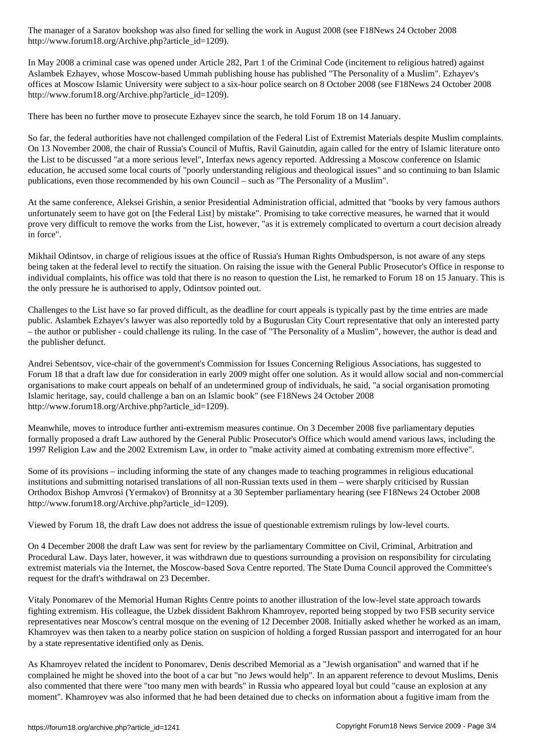http://www.forum18.org/Archive.php?article\_id=1209).

In May 2008 a criminal case was opened under Article 282, Part 1 of the Criminal Code (incitement to religious hatred) against Aslambek Ezhayev, whose Moscow-based Ummah publishing house has published "The Personality of a Muslim". Ezhayev's offices at Moscow Islamic University were subject to a six-hour police search on 8 October 2008 (see F18News 24 October 2008 http://www.forum18.org/Archive.php?article\_id=1209).

There has been no further move to prosecute Ezhayev since the search, he told Forum 18 on 14 January.

So far, the federal authorities have not challenged compilation of the Federal List of Extremist Materials despite Muslim complaints. On 13 November 2008, the chair of Russia's Council of Muftis, Ravil Gainutdin, again called for the entry of Islamic literature onto the List to be discussed "at a more serious level", Interfax news agency reported. Addressing a Moscow conference on Islamic education, he accused some local courts of "poorly understanding religious and theological issues" and so continuing to ban Islamic publications, even those recommended by his own Council – such as "The Personality of a Muslim".

At the same conference, Aleksei Grishin, a senior Presidential Administration official, admitted that "books by very famous authors unfortunately seem to have got on [the Federal List] by mistake". Promising to take corrective measures, he warned that it would prove very difficult to remove the works from the List, however, "as it is extremely complicated to overturn a court decision already in force".

Mikhail Odintsov, in charge of religious issues at the office of Russia's Human Rights Ombudsperson, is not aware of any steps being taken at the federal level to rectify the situation. On raising the issue with the General Public Prosecutor's Office in response to individual complaints, his office was told that there is no reason to question the List, he remarked to Forum 18 on 15 January. This is the only pressure he is authorised to apply, Odintsov pointed out.

Challenges to the List have so far proved difficult, as the deadline for court appeals is typically past by the time entries are made public. Aslambek Ezhayev's lawyer was also reportedly told by a Buguruslan City Court representative that only an interested party – the author or publisher - could challenge its ruling. In the case of "The Personality of a Muslim", however, the author is dead and the publisher defunct.

Andrei Sebentsov, vice-chair of the government's Commission for Issues Concerning Religious Associations, has suggested to Forum 18 that a draft law due for consideration in early 2009 might offer one solution. As it would allow social and non-commercial organisations to make court appeals on behalf of an undetermined group of individuals, he said, "a social organisation promoting Islamic heritage, say, could challenge a ban on an Islamic book" (see F18News 24 October 2008 http://www.forum18.org/Archive.php?article\_id=1209).

Meanwhile, moves to introduce further anti-extremism measures continue. On 3 December 2008 five parliamentary deputies formally proposed a draft Law authored by the General Public Prosecutor's Office which would amend various laws, including the 1997 Religion Law and the 2002 Extremism Law, in order to "make activity aimed at combating extremism more effective".

Some of its provisions – including informing the state of any changes made to teaching programmes in religious educational institutions and submitting notarised translations of all non-Russian texts used in them – were sharply criticised by Russian Orthodox Bishop Amvrosi (Yermakov) of Bronnitsy at a 30 September parliamentary hearing (see F18News 24 October 2008 http://www.forum18.org/Archive.php?article\_id=1209).

Viewed by Forum 18, the draft Law does not address the issue of questionable extremism rulings by low-level courts.

On 4 December 2008 the draft Law was sent for review by the parliamentary Committee on Civil, Criminal, Arbitration and Procedural Law. Days later, however, it was withdrawn due to questions surrounding a provision on responsibility for circulating extremist materials via the Internet, the Moscow-based Sova Centre reported. The State Duma Council approved the Committee's request for the draft's withdrawal on 23 December.

Vitaly Ponomarev of the Memorial Human Rights Centre points to another illustration of the low-level state approach towards fighting extremism. His colleague, the Uzbek dissident Bakhrom Khamroyev, reported being stopped by two FSB security service representatives near Moscow's central mosque on the evening of 12 December 2008. Initially asked whether he worked as an imam, Khamroyev was then taken to a nearby police station on suspicion of holding a forged Russian passport and interrogated for an hour by a state representative identified only as Denis.

As Khamroyev related the incident to Ponomarev, Denis described Memorial as a "Jewish organisation" and warned that if he complained he might be shoved into the boot of a car but "no Jews would help". In an apparent reference to devout Muslims, Denis also commented that there were "too many men with beards" in Russia who appeared loyal but could "cause an explosion at any moment". Khamroyev was also informed that he had been detained due to checks on information about a fugitive imam from the